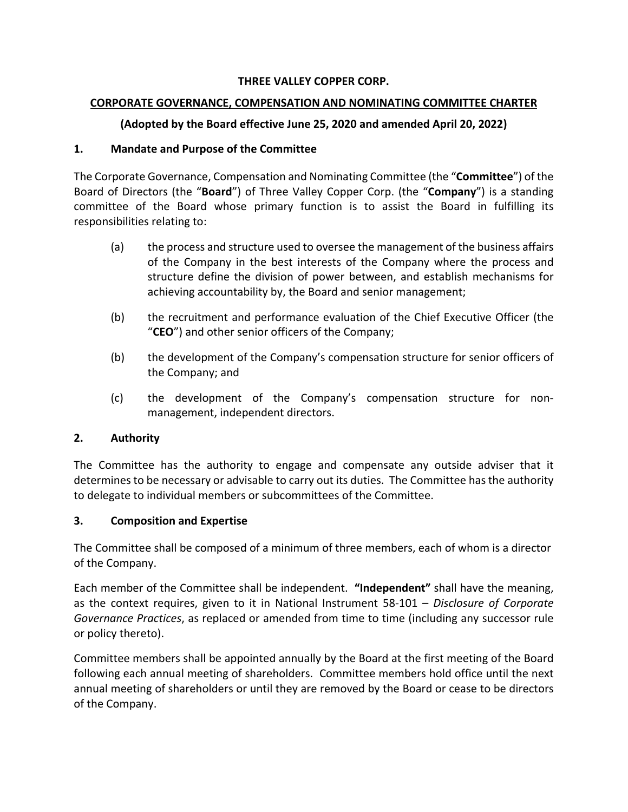#### **THREE VALLEY COPPER CORP.**

#### **CORPORATE GOVERNANCE, COMPENSATION AND NOMINATING COMMITTEE CHARTER**

## **(Adopted by the Board effective June 25, 2020 and amended April 20, 2022)**

#### **1. Mandate and Purpose of the Committee**

The Corporate Governance, Compensation and Nominating Committee (the "**Committee**") of the Board of Directors (the "**Board**") of Three Valley Copper Corp. (the "**Company**") is a standing committee of the Board whose primary function is to assist the Board in fulfilling its responsibilities relating to:

- (a) the process and structure used to oversee the management of the business affairs of the Company in the best interests of the Company where the process and structure define the division of power between, and establish mechanisms for achieving accountability by, the Board and senior management;
- (b) the recruitment and performance evaluation of the Chief Executive Officer (the "**CEO**") and other senior officers of the Company;
- (b) the development of the Company's compensation structure for senior officers of the Company; and
- (c) the development of the Company's compensation structure for nonmanagement, independent directors.

## **2. Authority**

The Committee has the authority to engage and compensate any outside adviser that it determines to be necessary or advisable to carry out its duties. The Committee has the authority to delegate to individual members or subcommittees of the Committee.

## **3. Composition and Expertise**

The Committee shall be composed of a minimum of three members, each of whom is a director of the Company.

Each member of the Committee shall be independent. **"Independent"** shall have the meaning, as the context requires, given to it in National Instrument 58-101 – *Disclosure of Corporate Governance Practices*, as replaced or amended from time to time (including any successor rule or policy thereto).

Committee members shall be appointed annually by the Board at the first meeting of the Board following each annual meeting of shareholders. Committee members hold office until the next annual meeting of shareholders or until they are removed by the Board or cease to be directors of the Company.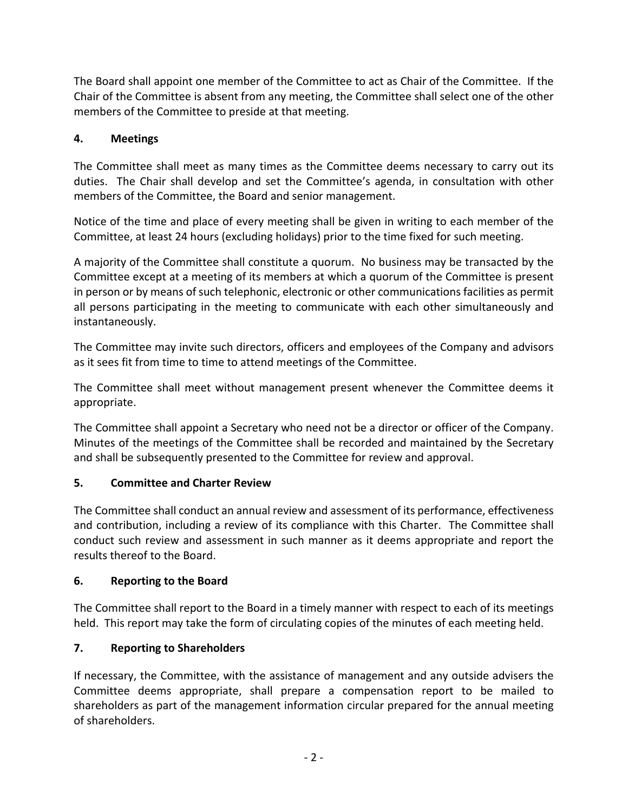The Board shall appoint one member of the Committee to act as Chair of the Committee. If the Chair of the Committee is absent from any meeting, the Committee shall select one of the other members of the Committee to preside at that meeting.

# **4. Meetings**

The Committee shall meet as many times as the Committee deems necessary to carry out its duties. The Chair shall develop and set the Committee's agenda, in consultation with other members of the Committee, the Board and senior management.

Notice of the time and place of every meeting shall be given in writing to each member of the Committee, at least 24 hours (excluding holidays) prior to the time fixed for such meeting.

A majority of the Committee shall constitute a quorum. No business may be transacted by the Committee except at a meeting of its members at which a quorum of the Committee is present in person or by means of such telephonic, electronic or other communications facilities as permit all persons participating in the meeting to communicate with each other simultaneously and instantaneously.

The Committee may invite such directors, officers and employees of the Company and advisors as it sees fit from time to time to attend meetings of the Committee.

The Committee shall meet without management present whenever the Committee deems it appropriate.

The Committee shall appoint a Secretary who need not be a director or officer of the Company. Minutes of the meetings of the Committee shall be recorded and maintained by the Secretary and shall be subsequently presented to the Committee for review and approval.

## **5. Committee and Charter Review**

The Committee shall conduct an annual review and assessment of its performance, effectiveness and contribution, including a review of its compliance with this Charter. The Committee shall conduct such review and assessment in such manner as it deems appropriate and report the results thereof to the Board.

## **6. Reporting to the Board**

The Committee shall report to the Board in a timely manner with respect to each of its meetings held. This report may take the form of circulating copies of the minutes of each meeting held.

# **7. Reporting to Shareholders**

If necessary, the Committee, with the assistance of management and any outside advisers the Committee deems appropriate, shall prepare a compensation report to be mailed to shareholders as part of the management information circular prepared for the annual meeting of shareholders.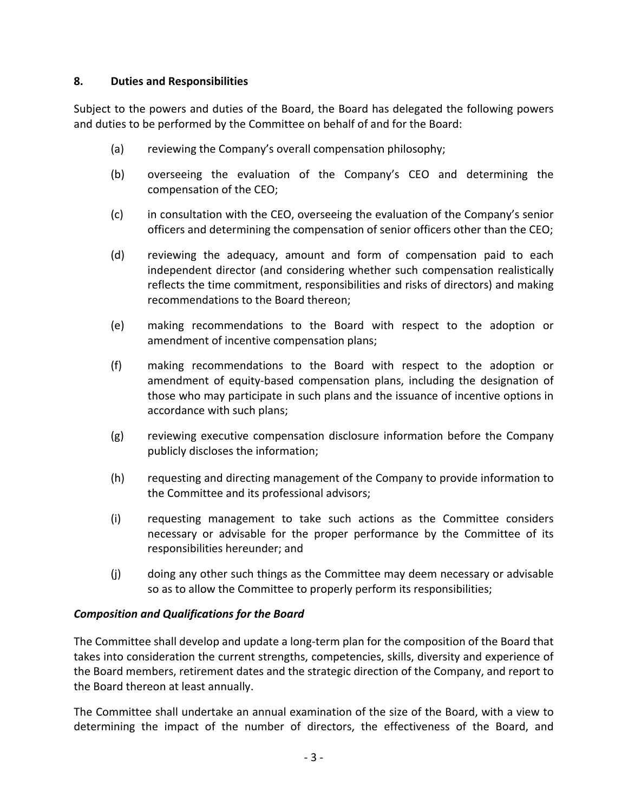## **8. Duties and Responsibilities**

Subject to the powers and duties of the Board, the Board has delegated the following powers and duties to be performed by the Committee on behalf of and for the Board:

- (a) reviewing the Company's overall compensation philosophy;
- (b) overseeing the evaluation of the Company's CEO and determining the compensation of the CEO;
- (c) in consultation with the CEO, overseeing the evaluation of the Company's senior officers and determining the compensation of senior officers other than the CEO;
- (d) reviewing the adequacy, amount and form of compensation paid to each independent director (and considering whether such compensation realistically reflects the time commitment, responsibilities and risks of directors) and making recommendations to the Board thereon;
- (e) making recommendations to the Board with respect to the adoption or amendment of incentive compensation plans;
- (f) making recommendations to the Board with respect to the adoption or amendment of equity-based compensation plans, including the designation of those who may participate in such plans and the issuance of incentive options in accordance with such plans;
- (g) reviewing executive compensation disclosure information before the Company publicly discloses the information;
- (h) requesting and directing management of the Company to provide information to the Committee and its professional advisors;
- (i) requesting management to take such actions as the Committee considers necessary or advisable for the proper performance by the Committee of its responsibilities hereunder; and
- (j) doing any other such things as the Committee may deem necessary or advisable so as to allow the Committee to properly perform its responsibilities;

## *Composition and Qualifications for the Board*

The Committee shall develop and update a long-term plan for the composition of the Board that takes into consideration the current strengths, competencies, skills, diversity and experience of the Board members, retirement dates and the strategic direction of the Company, and report to the Board thereon at least annually.

The Committee shall undertake an annual examination of the size of the Board, with a view to determining the impact of the number of directors, the effectiveness of the Board, and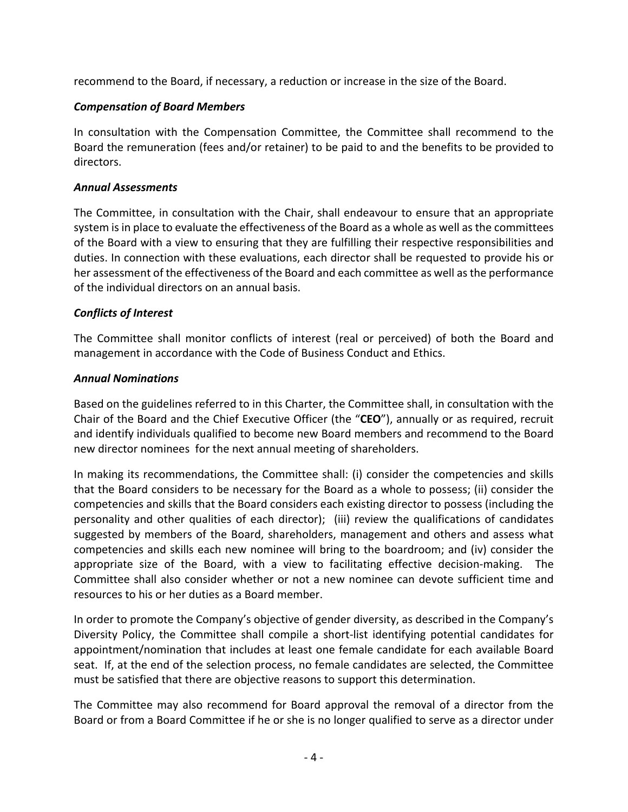recommend to the Board, if necessary, a reduction or increase in the size of the Board.

## *Compensation of Board Members*

In consultation with the Compensation Committee, the Committee shall recommend to the Board the remuneration (fees and/or retainer) to be paid to and the benefits to be provided to directors.

#### *Annual Assessments*

The Committee, in consultation with the Chair, shall endeavour to ensure that an appropriate system is in place to evaluate the effectiveness of the Board as a whole as well as the committees of the Board with a view to ensuring that they are fulfilling their respective responsibilities and duties. In connection with these evaluations, each director shall be requested to provide his or her assessment of the effectiveness of the Board and each committee as well as the performance of the individual directors on an annual basis.

## *Conflicts of Interest*

The Committee shall monitor conflicts of interest (real or perceived) of both the Board and management in accordance with the Code of Business Conduct and Ethics.

## *Annual Nominations*

Based on the guidelines referred to in this Charter, the Committee shall, in consultation with the Chair of the Board and the Chief Executive Officer (the "**CEO**"), annually or as required, recruit and identify individuals qualified to become new Board members and recommend to the Board new director nominees for the next annual meeting of shareholders.

In making its recommendations, the Committee shall: (i) consider the competencies and skills that the Board considers to be necessary for the Board as a whole to possess; (ii) consider the competencies and skills that the Board considers each existing director to possess (including the personality and other qualities of each director); (iii) review the qualifications of candidates suggested by members of the Board, shareholders, management and others and assess what competencies and skills each new nominee will bring to the boardroom; and (iv) consider the appropriate size of the Board, with a view to facilitating effective decision-making. The Committee shall also consider whether or not a new nominee can devote sufficient time and resources to his or her duties as a Board member.

In order to promote the Company's objective of gender diversity, as described in the Company's Diversity Policy, the Committee shall compile a short-list identifying potential candidates for appointment/nomination that includes at least one female candidate for each available Board seat. If, at the end of the selection process, no female candidates are selected, the Committee must be satisfied that there are objective reasons to support this determination.

The Committee may also recommend for Board approval the removal of a director from the Board or from a Board Committee if he or she is no longer qualified to serve as a director under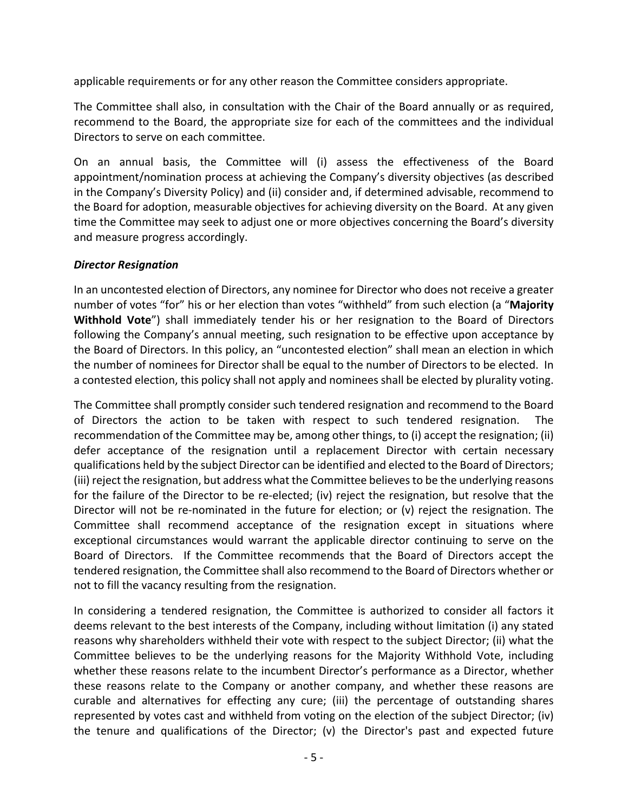applicable requirements or for any other reason the Committee considers appropriate.

The Committee shall also, in consultation with the Chair of the Board annually or as required, recommend to the Board, the appropriate size for each of the committees and the individual Directors to serve on each committee.

On an annual basis, the Committee will (i) assess the effectiveness of the Board appointment/nomination process at achieving the Company's diversity objectives (as described in the Company's Diversity Policy) and (ii) consider and, if determined advisable, recommend to the Board for adoption, measurable objectives for achieving diversity on the Board. At any given time the Committee may seek to adjust one or more objectives concerning the Board's diversity and measure progress accordingly.

#### *Director Resignation*

In an uncontested election of Directors, any nominee for Director who does not receive a greater number of votes "for" his or her election than votes "withheld" from such election (a "**Majority Withhold Vote**") shall immediately tender his or her resignation to the Board of Directors following the Company's annual meeting, such resignation to be effective upon acceptance by the Board of Directors. In this policy, an "uncontested election" shall mean an election in which the number of nominees for Director shall be equal to the number of Directors to be elected. In a contested election, this policy shall not apply and nominees shall be elected by plurality voting.

The Committee shall promptly consider such tendered resignation and recommend to the Board of Directors the action to be taken with respect to such tendered resignation. The recommendation of the Committee may be, among other things, to (i) accept the resignation; (ii) defer acceptance of the resignation until a replacement Director with certain necessary qualifications held by the subject Director can be identified and elected to the Board of Directors; (iii) reject the resignation, but address what the Committee believes to be the underlying reasons for the failure of the Director to be re-elected; (iv) reject the resignation, but resolve that the Director will not be re-nominated in the future for election; or (v) reject the resignation. The Committee shall recommend acceptance of the resignation except in situations where exceptional circumstances would warrant the applicable director continuing to serve on the Board of Directors. If the Committee recommends that the Board of Directors accept the tendered resignation, the Committee shall also recommend to the Board of Directors whether or not to fill the vacancy resulting from the resignation.

In considering a tendered resignation, the Committee is authorized to consider all factors it deems relevant to the best interests of the Company, including without limitation (i) any stated reasons why shareholders withheld their vote with respect to the subject Director; (ii) what the Committee believes to be the underlying reasons for the Majority Withhold Vote, including whether these reasons relate to the incumbent Director's performance as a Director, whether these reasons relate to the Company or another company, and whether these reasons are curable and alternatives for effecting any cure; (iii) the percentage of outstanding shares represented by votes cast and withheld from voting on the election of the subject Director; (iv) the tenure and qualifications of the Director; (v) the Director's past and expected future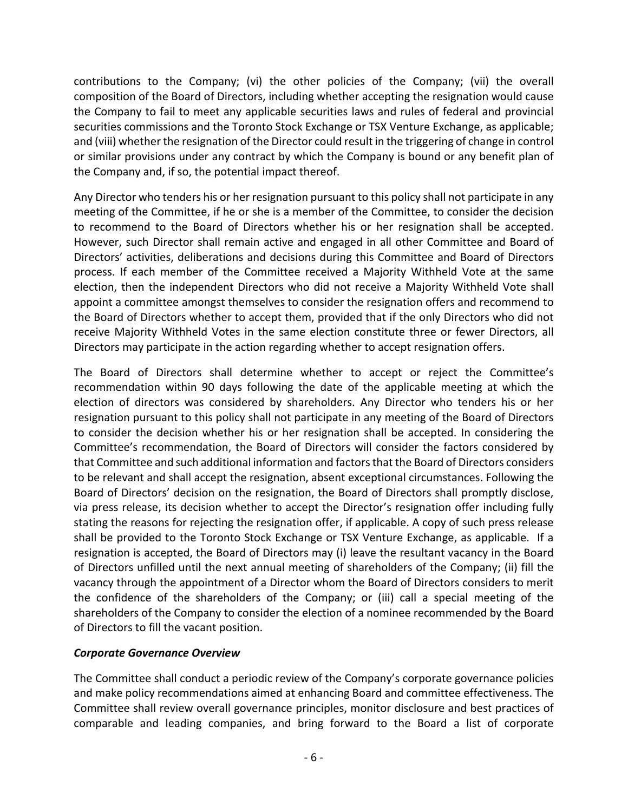contributions to the Company; (vi) the other policies of the Company; (vii) the overall composition of the Board of Directors, including whether accepting the resignation would cause the Company to fail to meet any applicable securities laws and rules of federal and provincial securities commissions and the Toronto Stock Exchange or TSX Venture Exchange, as applicable; and (viii) whether the resignation of the Director could result in the triggering of change in control or similar provisions under any contract by which the Company is bound or any benefit plan of the Company and, if so, the potential impact thereof.

Any Director who tenders his or her resignation pursuant to this policy shall not participate in any meeting of the Committee, if he or she is a member of the Committee, to consider the decision to recommend to the Board of Directors whether his or her resignation shall be accepted. However, such Director shall remain active and engaged in all other Committee and Board of Directors' activities, deliberations and decisions during this Committee and Board of Directors process. If each member of the Committee received a Majority Withheld Vote at the same election, then the independent Directors who did not receive a Majority Withheld Vote shall appoint a committee amongst themselves to consider the resignation offers and recommend to the Board of Directors whether to accept them, provided that if the only Directors who did not receive Majority Withheld Votes in the same election constitute three or fewer Directors, all Directors may participate in the action regarding whether to accept resignation offers.

The Board of Directors shall determine whether to accept or reject the Committee's recommendation within 90 days following the date of the applicable meeting at which the election of directors was considered by shareholders. Any Director who tenders his or her resignation pursuant to this policy shall not participate in any meeting of the Board of Directors to consider the decision whether his or her resignation shall be accepted. In considering the Committee's recommendation, the Board of Directors will consider the factors considered by that Committee and such additional information and factors that the Board of Directors considers to be relevant and shall accept the resignation, absent exceptional circumstances. Following the Board of Directors' decision on the resignation, the Board of Directors shall promptly disclose, via press release, its decision whether to accept the Director's resignation offer including fully stating the reasons for rejecting the resignation offer, if applicable. A copy of such press release shall be provided to the Toronto Stock Exchange or TSX Venture Exchange, as applicable. If a resignation is accepted, the Board of Directors may (i) leave the resultant vacancy in the Board of Directors unfilled until the next annual meeting of shareholders of the Company; (ii) fill the vacancy through the appointment of a Director whom the Board of Directors considers to merit the confidence of the shareholders of the Company; or (iii) call a special meeting of the shareholders of the Company to consider the election of a nominee recommended by the Board of Directors to fill the vacant position.

## *Corporate Governance Overview*

The Committee shall conduct a periodic review of the Company's corporate governance policies and make policy recommendations aimed at enhancing Board and committee effectiveness. The Committee shall review overall governance principles, monitor disclosure and best practices of comparable and leading companies, and bring forward to the Board a list of corporate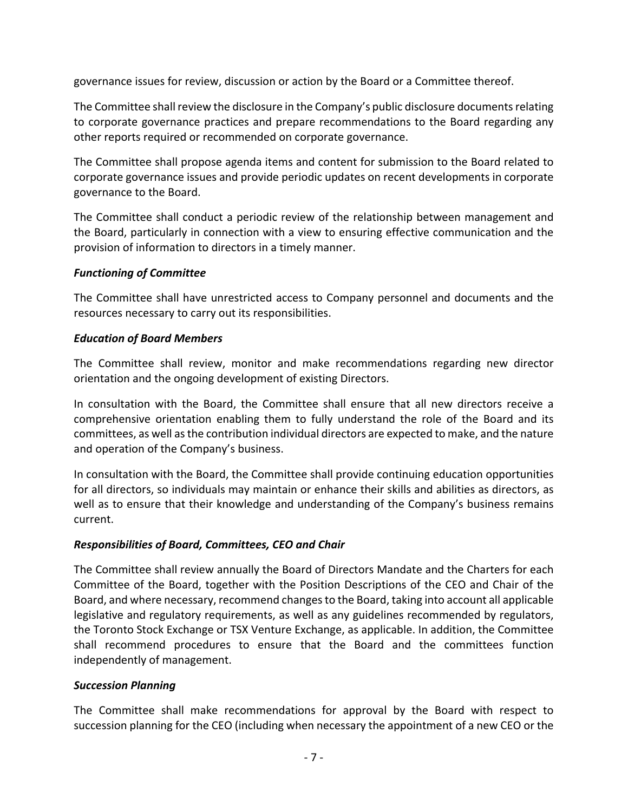governance issues for review, discussion or action by the Board or a Committee thereof.

The Committee shall review the disclosure in the Company's public disclosure documents relating to corporate governance practices and prepare recommendations to the Board regarding any other reports required or recommended on corporate governance.

The Committee shall propose agenda items and content for submission to the Board related to corporate governance issues and provide periodic updates on recent developments in corporate governance to the Board.

The Committee shall conduct a periodic review of the relationship between management and the Board, particularly in connection with a view to ensuring effective communication and the provision of information to directors in a timely manner.

## *Functioning of Committee*

The Committee shall have unrestricted access to Company personnel and documents and the resources necessary to carry out its responsibilities.

## *Education of Board Members*

The Committee shall review, monitor and make recommendations regarding new director orientation and the ongoing development of existing Directors.

In consultation with the Board, the Committee shall ensure that all new directors receive a comprehensive orientation enabling them to fully understand the role of the Board and its committees, as well as the contribution individual directors are expected to make, and the nature and operation of the Company's business.

In consultation with the Board, the Committee shall provide continuing education opportunities for all directors, so individuals may maintain or enhance their skills and abilities as directors, as well as to ensure that their knowledge and understanding of the Company's business remains current.

## *Responsibilities of Board, Committees, CEO and Chair*

The Committee shall review annually the Board of Directors Mandate and the Charters for each Committee of the Board, together with the Position Descriptions of the CEO and Chair of the Board, and where necessary, recommend changes to the Board, taking into account all applicable legislative and regulatory requirements, as well as any guidelines recommended by regulators, the Toronto Stock Exchange or TSX Venture Exchange, as applicable. In addition, the Committee shall recommend procedures to ensure that the Board and the committees function independently of management.

## *Succession Planning*

The Committee shall make recommendations for approval by the Board with respect to succession planning for the CEO (including when necessary the appointment of a new CEO or the